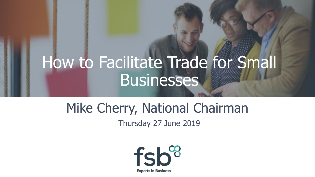## How to Facilitate Trade for Small Businesses

## Mike Cherry, National Chairman

Thursday 27 June 2019

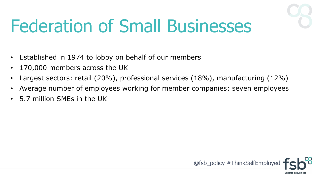

# Federation of Small Businesses

- Established in 1974 to lobby on behalf of our members
- 170,000 members across the UK
- Largest sectors: retail  $(20\%)$ , professional services  $(18\%)$ , manufacturing  $(12\%)$
- Average number of employees working for member companies: seven employees
- 5.7 million SMEs in the UK

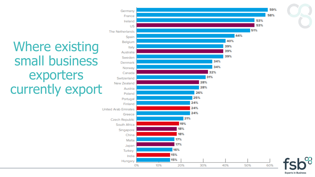### Where existing small business exporters currently export



**Experts in Business**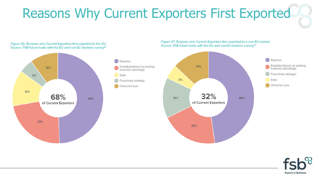### Reasons Why Current Exporters First Exported



#### Figure 26: Reasons why Current Exporters first exported to the EU Source: FSB future trade with the EU and non-EU markets survey<sup>94</sup>



#### Figure 27: Reasons why Current Exporters first exported to a non-EU market Source: FSB future trade with the EU and non-EU markets survey<sup>95</sup>



Reactive

Ease

48%

Exploited/driven by existing

business advantage

Proactively strategic

Other/not sure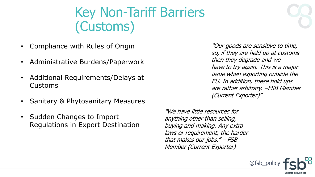### Key Non-Tariff Barriers (Customs)

- Compliance with Rules of Origin
- Administrative Burdens/Paperwork
- Additional Requirements/Delays at Customs
- Sanitary & Phytosanitary Measures
- Sudden Changes to Import Regulations in Export Destination

"Our goods are sensitive to time, so, if they are held up at customs then they degrade and we have to try again. This is a major issue when exporting outside the EU. In addition, these hold ups are rather arbitrary. –FSB Member (Current Exporter)"

"We have little resources for anything other than selling, buying and making. Any extra laws or requirement, the harder that makes our jobs." – FSB Member (Current Exporter)

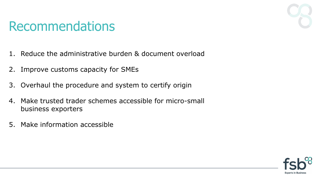### Recommendations

- 1. Reduce the administrative burden & document overload
- 2. Improve customs capacity for SMEs
- 3. Overhaul the procedure and system to certify origin
- 4. Make trusted trader schemes accessible for micro-small business exporters
- 5. Make information accessible